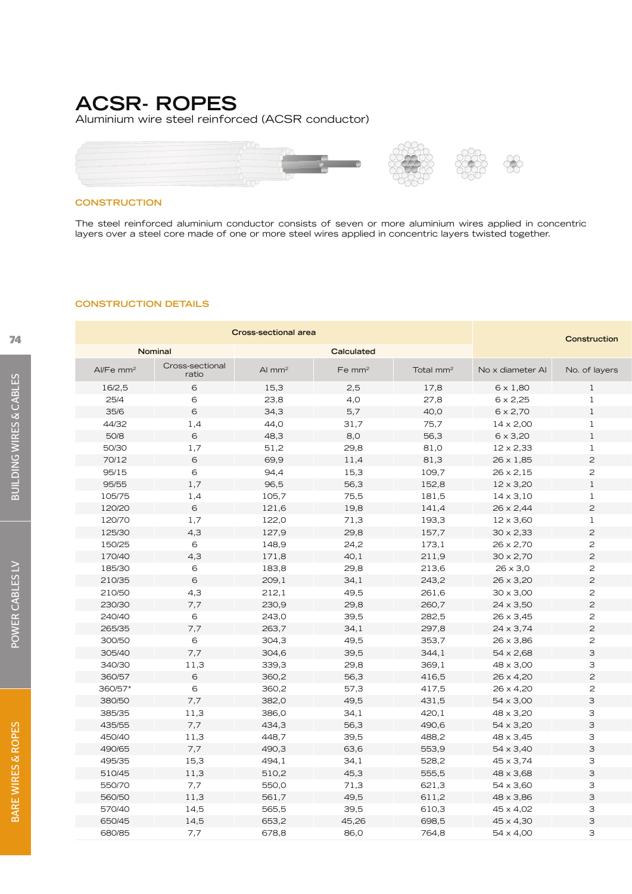## **ACSR- ROPES**

Aluminium wire steel reinforced (ACSR conductor)



### **CONSTRUCTION**

The steel reinforced aluminium conductor consists of seven or more aluminium wires applied in concentric layers over a steel core made of one or more steel wires applied in concentric layers twisted together.

 $\bigotimes$ 

#### **CONSTRUCTION DETAILS**

| <b>Cross-sectional area</b> |                          |          |            |                       |                  | Construction   |
|-----------------------------|--------------------------|----------|------------|-----------------------|------------------|----------------|
|                             | Nominal                  |          | Calculated |                       |                  |                |
| Al/Fe mm <sup>2</sup>       | Cross-sectional<br>ratio | Al $mm2$ | Fe $mm2$   | Total mm <sup>2</sup> | No x diameter AI | No. of layers  |
| 16/2,5                      | 6                        | 15,3     | 2,5        | 17,8                  | $6 \times 1,80$  | 1              |
| 25/4                        | 6                        | 23,8     | 4,0        | 27,8                  | $6 \times 2,25$  | $\mathbf{1}$   |
| 35/6                        | 6                        | 34,3     | 5,7        | 40,0                  | $6 \times 2,70$  | $\mathbf{1}$   |
| 44/32                       | 1,4                      | 44,0     | 31,7       | 75,7                  | $14 \times 2,00$ | <sup>1</sup>   |
| 50/8                        | 6                        | 48,3     | 8,0        | 56,3                  | $6 \times 3,20$  | $\mathbf{1}$   |
| 50/30                       | 1,7                      | 51,2     | 29,8       | 81,0                  | $12 \times 2,33$ | $\mathbf{1}$   |
| 70/12                       | 6                        | 69,9     | 11,4       | 81,3                  | $26 \times 1,85$ | $\overline{c}$ |
| 95/15                       | 6                        | 94,4     | 15,3       | 109,7                 | $26 \times 2,15$ | $\overline{c}$ |
| 95/55                       | 1,7                      | 96,5     | 56,3       | 152,8                 | $12 \times 3,20$ | <sup>1</sup>   |
| 105/75                      | 1,4                      | 105,7    | 75,5       | 181,5                 | $14 \times 3,10$ | $\mathbf{1}$   |
| 120/20                      | 6                        | 121,6    | 19,8       | 141,4                 | $26 \times 2,44$ | $\overline{c}$ |
| 120/70                      | 1,7                      | 122,0    | 71,3       | 193,3                 | $12 \times 3,60$ | <sup>1</sup>   |
| 125/30                      | 4,3                      | 127,9    | 29,8       | 157,7                 | $30 \times 2,33$ | $\overline{c}$ |
| 150/25                      | 6                        | 148,9    | 24,2       | 173,1                 | $26 \times 2,70$ | $\overline{c}$ |
| 170/40                      | 4,3                      | 171,8    | 40,1       | 211,9                 | $30 \times 2,70$ | $\overline{c}$ |
| 185/30                      | 6                        | 183,8    | 29,8       | 213,6                 | $26 \times 3,0$  | $\overline{c}$ |
| 210/35                      | $6\phantom{1}$           | 209,1    | 34,1       | 243,2                 | $26 \times 3,20$ | $\overline{c}$ |
| 210/50                      | 4,3                      | 212,1    | 49,5       | 261,6                 | $30 \times 3,00$ | $\overline{c}$ |
| 230/30                      | 7,7                      | 230,9    | 29,8       | 260,7                 | $24 \times 3,50$ | $\overline{c}$ |
| 240/40                      | 6                        | 243,0    | 39,5       | 282,5                 | $26 \times 3,45$ | $\overline{c}$ |
| 265/35                      | 7,7                      | 263,7    | 34,1       | 297,8                 | $24 \times 3,74$ | $\overline{c}$ |
| 300/50                      | 6                        | 304,3    | 49,5       | 353,7                 | $26 \times 3,86$ | $\overline{c}$ |
| 305/40                      | 7,7                      | 304,6    | 39,5       | 344,1                 | $54 \times 2,68$ | $\mathsf{3}$   |
| 340/30                      | 11,3                     | 339,3    | 29,8       | 369,1                 | $48 \times 3,00$ | 3              |
| 360/57                      | 6                        | 360,2    | 56,3       | 416,5                 | $26 \times 4,20$ | $\overline{c}$ |
| 360/57*                     | 6                        | 360,2    | 57,3       | 417,5                 | $26 \times 4,20$ | $\overline{c}$ |
| 380/50                      | 7,7                      | 382,0    | 49,5       | 431,5                 | $54 \times 3,00$ | $\mathsf{3}$   |
| 385/35                      | 11,3                     | 386,0    | 34,1       | 420,1                 | 48 x 3,20        | 3              |
|                             |                          |          |            |                       |                  |                |
| 435/55                      | 7,7                      | 434,3    | 56,3       | 490,6                 | $54 \times 3,20$ | $\mathsf{3}$   |
| 450/40                      | 11,3                     | 448,7    | 39,5       | 488,2                 | $48 \times 3,45$ | 3              |
| 490/65                      | 7,7                      | 490,3    | 63,6       | 553,9                 | $54 \times 3,40$ | $\mathsf{3}$   |
| 495/35                      | 15,3                     | 494,1    | 34,1       | 528,2                 | $45 \times 3,74$ | 3              |
| 510/45                      | 11,3                     | 510,2    | 45,3       | 555,5                 | 48 x 3,68        | $\mathsf{3}$   |
| 550/70                      | 7,7                      | 550,0    | 71,3       | 621,3                 | 54 x 3,60        | 3              |
| 560/50                      | 11,3                     | 561,7    | 49,5       | 611,2                 | 48 x 3,86        | $\mathsf{3}$   |
| 570/40                      | 14,5                     | 565,5    | 39,5       | 610,3                 | 45 x 4,02        | 3              |
| 650/45                      | 14,5                     | 653,2    | 45,26      | 698,5                 | 45 x 4,30        | $\mathsf S$    |
| 680/85                      | 7,7                      | 678,8    | 86,0       | 764,8                 | 54 x 4,00        | 3              |

POWER CABLES LV

POWER CABLES LV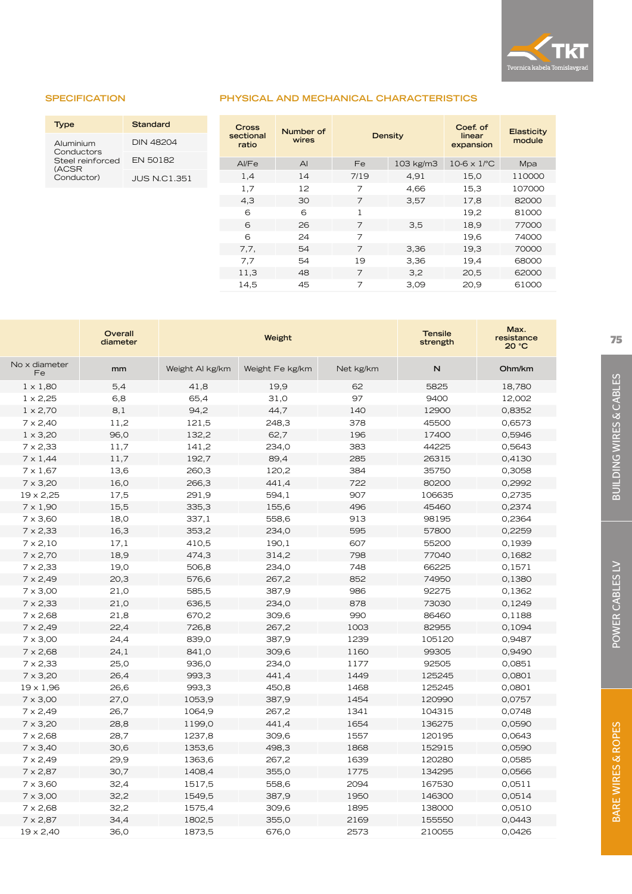

## **SPECIFICATION**

| <b>Type</b>                             | Standard        |
|-----------------------------------------|-----------------|
| Aluminium                               | DIN 48204       |
| Conductors<br>Steel reinforced<br>(ACSR | <b>FN 50182</b> |
| Conductor)                              | JUS N.C1.351    |

| <b>PHYSICAL AND MECHANICAL CHARACTERISTICS</b> |  |  |  |  |
|------------------------------------------------|--|--|--|--|
|                                                |  |  |  |  |

| <b>Cross</b><br>sectional<br>ratio | Number of<br>wires | <b>Density</b> |           | Coef. of<br>linear<br>expansion | Elasticity<br>module |
|------------------------------------|--------------------|----------------|-----------|---------------------------------|----------------------|
| Al/Fe                              | $\mathsf{A}$       | Fe             | 103 kg/m3 | $10-6 \times 1$ <sup>o</sup> C  | Mpa                  |
| 1,4                                | 14                 | 7/19           | 4,91      | 15,0                            | 110000               |
| 1,7                                | 12                 | 7              | 4,66      | 15,3                            | 107000               |
| 4,3                                | 30                 | 7              | 3,57      | 17,8                            | 82000                |
| 6                                  | 6                  | 1              |           | 19,2                            | 81000                |
| 6                                  | 26                 | 7              | 3,5       | 18,9                            | 77000                |
| 6                                  | 24                 | 7              |           | 19,6                            | 74000                |
| 7,7,                               | 54                 | $\overline{7}$ | 3,36      | 19,3                            | 70000                |
| 7,7                                | 54                 | 19             | 3,36      | 19,4                            | 68000                |
| 11,3                               | 48                 | 7              | 3,2       | 20,5                            | 62000                |
| 14,5                               | 45                 | 7              | 3,09      | 20.9                            | 61000                |

|                     | Overall<br>diameter |                 | Weight          |           | <b>Tensile</b><br>strength | Max.<br>resistance<br>20 °C |
|---------------------|---------------------|-----------------|-----------------|-----------|----------------------------|-----------------------------|
| No x diameter<br>Fe | mm                  | Weight AI kg/km | Weight Fe kg/km | Net kg/km | N                          | Ohm/km                      |
| $1 \times 1,80$     | 5,4                 | 41,8            | 19,9            | 62        | 5825                       | 18,780                      |
| $1 \times 2,25$     | 6,8                 | 65,4            | 31,0            | 97        | 9400                       | 12,002                      |
| $1 \times 2,70$     | 8,1                 | 94,2            | 44,7            | 140       | 12900                      | 0,8352                      |
| $7 \times 2,40$     | 11,2                | 121,5           | 248,3           | 378       | 45500                      | 0,6573                      |
| $1 \times 3,20$     | 96,0                | 132,2           | 62,7            | 196       | 17400                      | 0,5946                      |
| $7 \times 2,33$     | 11,7                | 141,2           | 234,0           | 383       | 44225                      | 0,5643                      |
| $7 \times 1,44$     | 11,7                | 192,7           | 89,4            | 285       | 26315                      | 0,4130                      |
| $7 \times 1,67$     | 13,6                | 260,3           | 120,2           | 384       | 35750                      | 0,3058                      |
| $7 \times 3,20$     | 16,0                | 266,3           | 441,4           | 722       | 80200                      | 0,2992                      |
| $19 \times 2,25$    | 17,5                | 291,9           | 594,1           | 907       | 106635                     | 0,2735                      |
| $7 \times 1,90$     | 15,5                | 335,3           | 155,6           | 496       | 45460                      | 0,2374                      |
| $7 \times 3,60$     | 18,0                | 337,1           | 558,6           | 913       | 98195                      | 0,2364                      |
| $7 \times 2,33$     | 16,3                | 353,2           | 234,0           | 595       | 57800                      | 0,2259                      |
| $7 \times 2,10$     | 17,1                | 410,5           | 190,1           | 607       | 55200                      | 0,1939                      |
| $7 \times 2,70$     | 18,9                | 474,3           | 314,2           | 798       | 77040                      | 0,1682                      |
| $7 \times 2,33$     | 19,0                | 506,8           | 234,0           | 748       | 66225                      | 0,1571                      |
| $7 \times 2,49$     | 20,3                | 576,6           | 267,2           | 852       | 74950                      | 0,1380                      |
| $7 \times 3,00$     | 21,0                | 585,5           | 387,9           | 986       | 92275                      | 0,1362                      |
| $7 \times 2,33$     | 21,0                | 636,5           | 234,0           | 878       | 73030                      | 0,1249                      |
| $7 \times 2,68$     | 21,8                | 670,2           | 309,6           | 990       | 86460                      | 0,1188                      |
| $7 \times 2,49$     | 22,4                | 726,8           | 267,2           | 1003      | 82955                      | 0,1094                      |
| $7 \times 3,00$     | 24,4                | 839,0           | 387,9           | 1239      | 105120                     | 0,9487                      |
| $7 \times 2,68$     | 24,1                | 841,0           | 309,6           | 1160      | 99305                      | 0,9490                      |
| $7 \times 2,33$     | 25,0                | 936,0           | 234,0           | 1177      | 92505                      | 0,0851                      |
| $7 \times 3,20$     | 26,4                | 993,3           | 441,4           | 1449      | 125245                     | 0,0801                      |
| $19 \times 1,96$    | 26,6                | 993,3           | 450,8           | 1468      | 125245                     | 0,0801                      |
| $7 \times 3,00$     | 27,0                | 1053,9          | 387,9           | 1454      | 120990                     | 0,0757                      |
| $7 \times 2,49$     | 26,7                | 1064,9          | 267,2           | 1341      | 104315                     | 0,0748                      |
| $7 \times 3,20$     | 28,8                | 1199,0          | 441,4           | 1654      | 136275                     | 0,0590                      |
| $7 \times 2,68$     | 28,7                | 1237,8          | 309,6           | 1557      | 120195                     | 0,0643                      |
| $7 \times 3,40$     | 30,6                | 1353,6          | 498,3           | 1868      | 152915                     | 0,0590                      |
| $7 \times 2,49$     | 29,9                | 1363,6          | 267,2           | 1639      | 120280                     | 0,0585                      |
| $7 \times 2,87$     | 30,7                | 1408,4          | 355,0           | 1775      | 134295                     | 0,0566                      |
| $7 \times 3,60$     | 32,4                | 1517,5          | 558,6           | 2094      | 167530                     | 0,0511                      |
| $7 \times 3,00$     | 32,2                | 1549,5          | 387,9           | 1950      | 146300                     | 0,0514                      |
| $7 \times 2,68$     | 32,2                | 1575,4          | 309,6           | 1895      | 138000                     | 0,0510                      |
| $7 \times 2,87$     | 34,4                | 1802,5          | 355,0           | 2169      | 155550                     | 0,0443                      |
| $19 \times 2,40$    | 36,0                | 1873,5          | 676,0           | 2573      | 210055                     | 0,0426                      |
|                     |                     |                 |                 |           |                            |                             |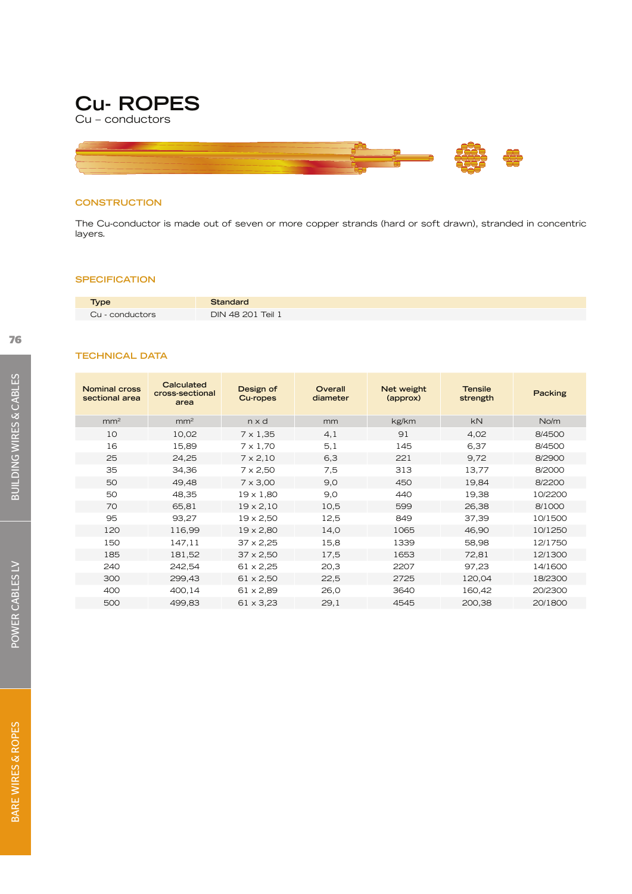

Cu – conductors



## **CONSTRUCTION**

The Cu-conductor is made out of seven or more copper strands (hard or soft drawn), stranded in concentric layers.

#### **SPECIFICATION**

**TECHNICAL DATA**

| <b>Type</b>     | Standard          |
|-----------------|-------------------|
| Cu - conductors | DIN 48 201 Teil 1 |

| <b>Nominal cross</b><br>sectional area | Calculated<br>cross-sectional<br>area | Design of<br>Cu-ropes | Overall<br>diameter | Net weight<br>(approx) | <b>Tensile</b><br>strength | Packing |
|----------------------------------------|---------------------------------------|-----------------------|---------------------|------------------------|----------------------------|---------|
| mm <sup>2</sup>                        | mm <sup>2</sup>                       | n x d                 | mm                  | kg/km                  | <b>kN</b>                  | No/m    |
| 10                                     | 10,02                                 | $7 \times 1,35$       | 4,1                 | 91                     | 4,02                       | 8/4500  |
| 16                                     | 15,89                                 | $7 \times 1.70$       | 5,1                 | 145                    | 6,37                       | 8/4500  |
| 25                                     | 24,25                                 | $7 \times 2,10$       | 6,3                 | 221                    | 9,72                       | 8/2900  |
| 35                                     | 34,36                                 | $7 \times 2,50$       | 7,5                 | 313                    | 13,77                      | 8/2000  |
| 50                                     | 49,48                                 | $7 \times 3,00$       | 9,0                 | 450                    | 19,84                      | 8/2200  |
| 50                                     | 48,35                                 | $19 \times 1.80$      | 9,0                 | 440                    | 19,38                      | 10/2200 |
| 70                                     | 65,81                                 | $19 \times 2,10$      | 10,5                | 599                    | 26,38                      | 8/1000  |
| 95                                     | 93,27                                 | $19 \times 2,50$      | 12,5                | 849                    | 37,39                      | 10/1500 |
| 120                                    | 116,99                                | $19 \times 2,80$      | 14,0                | 1065                   | 46,90                      | 10/1250 |
| 150                                    | 147,11                                | $37 \times 2,25$      | 15,8                | 1339                   | 58,98                      | 12/1750 |
| 185                                    | 181,52                                | $37 \times 2,50$      | 17,5                | 1653                   | 72,81                      | 12/1300 |
| 240                                    | 242,54                                | $61 \times 2,25$      | 20,3                | 2207                   | 97,23                      | 14/1600 |
| 300                                    | 299,43                                | $61 \times 2,50$      | 22,5                | 2725                   | 120,04                     | 18/2300 |
| 400                                    | 400,14                                | 61 x 2,89             | 26,0                | 3640                   | 160,42                     | 20/2300 |

500 499,83 61 x 3,23 29,1 4545 200,38 20/1800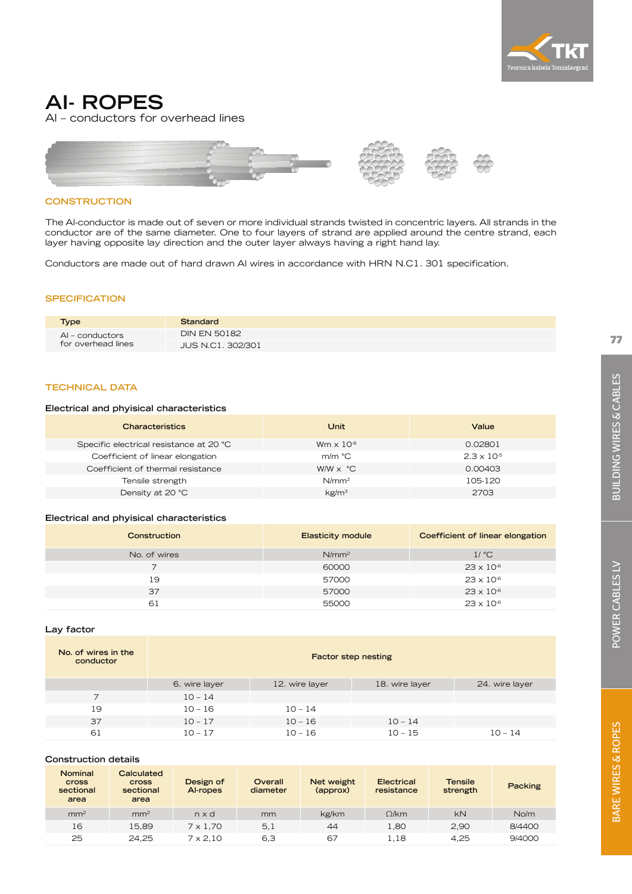

## **AI- ROPES**

Al – conductors for overhead lines



## **CONSTRUCTION**

The Al-conductor is made out of seven or more individual strands twisted in concentric layers. All strands in the conductor are of the same diameter. One to four layers of strand are applied around the centre strand, each layer having opposite lay direction and the outer layer always having a right hand lay.

Conductors are made out of hard drawn Al wires in accordance with HRN N.C1. 301 specification.

#### **SPECIFICATION**

| <b>Type</b>        | Standard                 |
|--------------------|--------------------------|
| AI – conductors    | <b>DIN EN 50182</b>      |
| for overhead lines | <b>JUS N.C1, 302/301</b> |

## **TECHNICAL DATA**

#### **Electrical and phyisical characteristics**

| <b>Characteristics</b>                  | Unit                         | Value                |
|-----------------------------------------|------------------------------|----------------------|
| Specific electrical resistance at 20 °C | Wm $\times$ 10 <sup>-6</sup> | 0.02801              |
| Coefficient of linear elongation        | $m/m$ °C                     | $2.3 \times 10^{-5}$ |
| Coefficient of thermal resistance       | $WW \times °C$               | 0.00403              |
| Tensile strength                        | N/mm <sup>2</sup>            | 105-120              |
| Density at 20 °C                        | kg/m <sup>3</sup>            | 2703                 |
|                                         |                              |                      |

## **Electrical and phyisical characteristics**

| Construction | <b>Elasticity module</b> | Coefficient of linear elongation |
|--------------|--------------------------|----------------------------------|
| No. of wires | N/mm <sup>2</sup>        | $1/$ °C                          |
|              | 60000                    | $23 \times 10^{-6}$              |
| 19           | 57000                    | $23 \times 10^{-6}$              |
| 37           | 57000                    | $23 \times 10^{-6}$              |
| 61           | 55000                    | $23 \times 10^{-6}$              |

#### **Lay factor**

| No. of wires in the<br>conductor | <b>Factor step nesting</b> |                |                |                |  |  |
|----------------------------------|----------------------------|----------------|----------------|----------------|--|--|
|                                  | 6. wire layer              | 12. wire layer | 18. wire layer | 24. wire layer |  |  |
|                                  | $10 - 14$                  |                |                |                |  |  |
| 19                               | $10 - 16$                  | $10 - 14$      |                |                |  |  |
| 37                               | $10 - 17$                  | $10 - 16$      | $10 - 14$      |                |  |  |
| 61                               | $10 - 17$                  | $10 - 16$      | $10 - 15$      | $10 - 14$      |  |  |

## **Construction details**

| <b>Nominal</b><br><b>Cross</b><br>sectional<br>area | Calculated<br><b>Cross</b><br>sectional<br>area | Design of<br>Al-ropes | Overall<br>diameter | Net weight<br>(approx) | Electrical<br>resistance | <b>Tensile</b><br>strength | Packing |
|-----------------------------------------------------|-------------------------------------------------|-----------------------|---------------------|------------------------|--------------------------|----------------------------|---------|
| mm <sup>2</sup>                                     | mm <sup>2</sup>                                 | nxd                   | mm                  | kg/km                  | $\Omega$ /km             | <b>kN</b>                  | No/m    |
| 16                                                  | 15.89                                           | $7 \times 1.70$       | 5,1                 | 44                     | 1,80                     | 2.90                       | 8/4400  |
| 25                                                  | 24.25                                           | $7 \times 2.10$       | 6.3                 | 67                     | 1,18                     | 4.25                       | 9/4000  |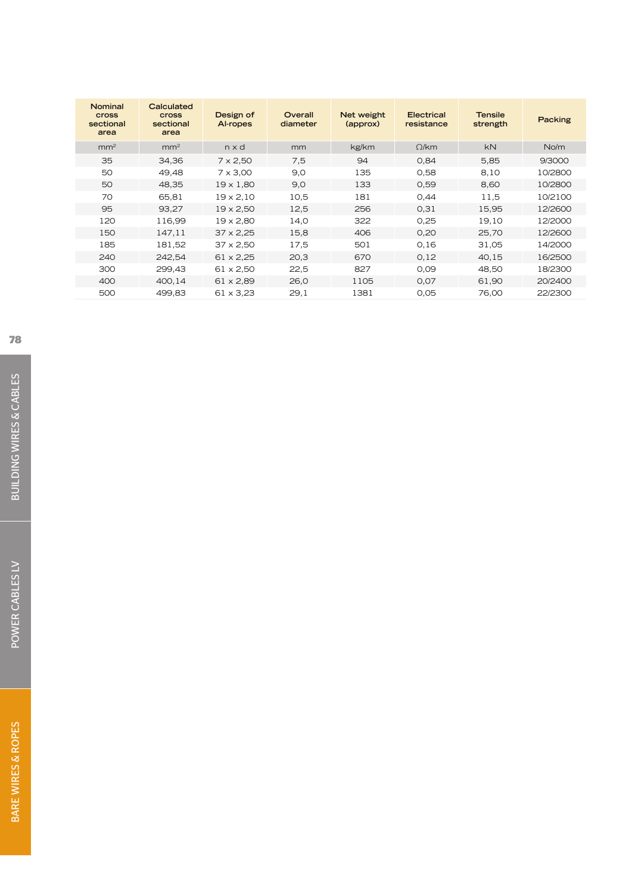| Nominal<br>cross<br>sectional<br>area | Calculated<br><b>cross</b><br>sectional<br>area | Design of<br>Al-ropes | Overall<br>diameter | Net weight<br>(approx) | Electrical<br>resistance | <b>Tensile</b><br>strength | Packing |
|---------------------------------------|-------------------------------------------------|-----------------------|---------------------|------------------------|--------------------------|----------------------------|---------|
| mm <sup>2</sup>                       | mm <sup>2</sup>                                 | $n \times d$          | mm                  | kg/km                  | $\Omega$ /km             | <b>kN</b>                  | No/m    |
| 35                                    | 34,36                                           | $7 \times 2,50$       | 7.5                 | 94                     | 0,84                     | 5,85                       | 9/3000  |
| 50                                    | 49,48                                           | $7 \times 3,00$       | 9,0                 | 135                    | 0,58                     | 8,10                       | 10/2800 |
| 50                                    | 48,35                                           | $19 \times 1,80$      | 9,0                 | 133                    | 0,59                     | 8,60                       | 10/2800 |
| 70                                    | 65,81                                           | $19 \times 2,10$      | 10,5                | 181                    | 0,44                     | 11,5                       | 10/2100 |
| 95                                    | 93,27                                           | $19 \times 2,50$      | 12,5                | 256                    | 0,31                     | 15,95                      | 12/2600 |
| 120                                   | 116,99                                          | $19 \times 2,80$      | 14,0                | 322                    | 0,25                     | 19,10                      | 12/2000 |
| 150                                   | 147,11                                          | $37 \times 2,25$      | 15,8                | 406                    | 0.20                     | 25,70                      | 12/2600 |
| 185                                   | 181,52                                          | $37 \times 2,50$      | 17.5                | 501                    | 0,16                     | 31,05                      | 14/2000 |
| 240                                   | 242,54                                          | $61 \times 2,25$      | 20,3                | 670                    | 0,12                     | 40,15                      | 16/2500 |
| 300                                   | 299,43                                          | $61 \times 2,50$      | 22,5                | 827                    | 0,09                     | 48,50                      | 18/2300 |
| 400                                   | 400.14                                          | $61 \times 2.89$      | 26,0                | 1105                   | 0,07                     | 61,90                      | 20/2400 |
| 500                                   | 499,83                                          | $61 \times 3.23$      | 29.1                | 1381                   | 0,05                     | 76,00                      | 22/2300 |